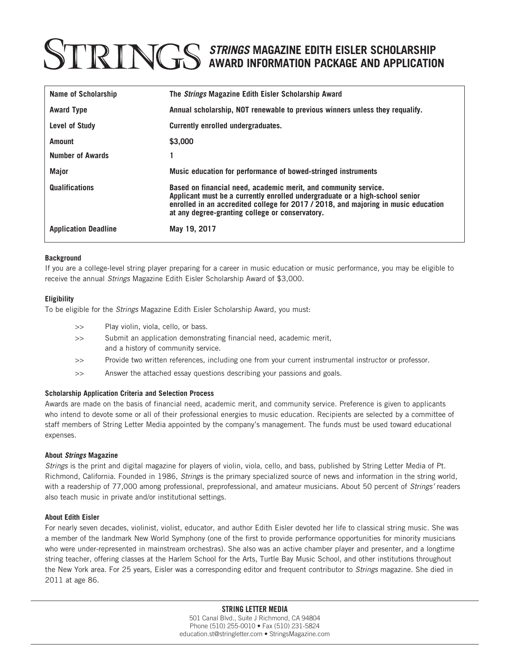## *STRINGS* **MAGAZINE EDITH EISLER SCHOLARSHIP AWARD INFORMATION PACKAGE AND APPLICATION**

| Name of Scholarship         | The <i>Strings</i> Magazine Edith Eisler Scholarship Award                                                                                                                                                                                                                               |
|-----------------------------|------------------------------------------------------------------------------------------------------------------------------------------------------------------------------------------------------------------------------------------------------------------------------------------|
| <b>Award Type</b>           | Annual scholarship, NOT renewable to previous winners unless they requalify.                                                                                                                                                                                                             |
| Level of Study              | Currently enrolled undergraduates.                                                                                                                                                                                                                                                       |
| <b>Amount</b>               | \$3,000                                                                                                                                                                                                                                                                                  |
| <b>Number of Awards</b>     |                                                                                                                                                                                                                                                                                          |
| Major                       | Music education for performance of bowed-stringed instruments                                                                                                                                                                                                                            |
| <b>Qualifications</b>       | Based on financial need, academic merit, and community service.<br>Applicant must be a currently enrolled undergraduate or a high-school senior<br>enrolled in an accredited college for 2017 / 2018, and majoring in music education<br>at any degree-granting college or conservatory. |
| <b>Application Deadline</b> | May 19, 2017                                                                                                                                                                                                                                                                             |

#### **Background**

If you are a college-level string player preparing for a career in music education or music performance, you may be eligible to receive the annual *Strings* Magazine Edith Eisler Scholarship Award of \$3,000.

#### **Eligibility**

To be eligible for the *Strings* Magazine Edith Eisler Scholarship Award, you must:

- >> Play violin, viola, cello, or bass. >> Submit an application demonstrating financial need, academic merit, and a history of community service.
- >> Provide two written references, including one from your current instrumental instructor or professor.
- >> Answer the attached essay questions describing your passions and goals.

### **Scholarship Application Criteria and Selection Process**

Awards are made on the basis of financial need, academic merit, and community service. Preference is given to applicants who intend to devote some or all of their professional energies to music education. Recipients are selected by a committee of staff members of String Letter Media appointed by the company's management. The funds must be used toward educational expenses.

#### **About** *Strings* **Magazine**

*Strings* is the print and digital magazine for players of violin, viola, cello, and bass, published by String Letter Media of Pt. Richmond, California. Founded in 1986, *Strings* is the primary specialized source of news and information in the string world, with a readership of 77,000 among professional, preprofessional, and amateur musicians. About 50 percent of *Strings'* readers also teach music in private and/or institutional settings.

#### **About Edith Eisler**

For nearly seven decades, violinist, violist, educator, and author Edith Eisler devoted her life to classical string music. She was a member of the landmark New World Symphony (one of the first to provide performance opportunities for minority musicians who were under-represented in mainstream orchestras). She also was an active chamber player and presenter, and a longtime string teacher, offering classes at the Harlem School for the Arts, Turtle Bay Music School, and other institutions throughout the New York area. For 25 years, Eisler was a corresponding editor and frequent contributor to *Strings* magazine. She died in 2011 at age 86.

### STRING LETTER MEDIA

501 Canal Blvd., Suite J Richmond, CA 94804 Phone (510) 255-0010 • Fax (510) 231-5824 education.st@stringletter.com • StringsMagazine.com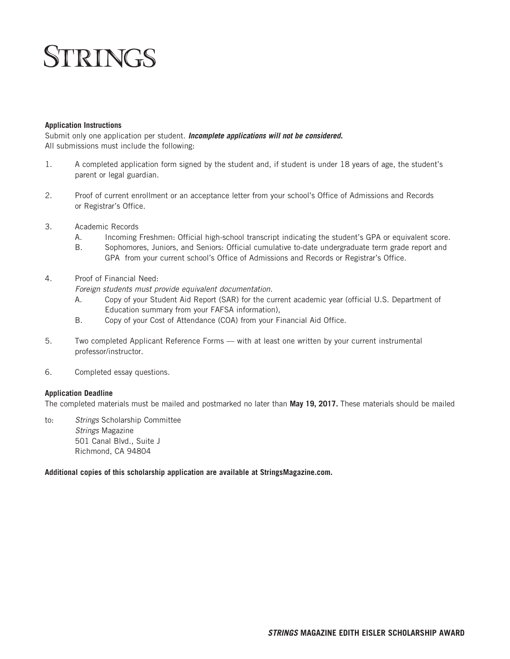# **STRINGS**

#### **Application Instructions**

Submit only one application per student. *Incomplete applications will not be considered.*  All submissions must include the following:

- 1. A completed application form signed by the student and, if student is under 18 years of age, the student's parent or legal guardian.
- 2. Proof of current enrollment or an acceptance letter from your school's Office of Admissions and Records or Registrar's Office.
- 3. Academic Records
	- A. Incoming Freshmen: Official high-school transcript indicating the student's GPA or equivalent score.
	- B. Sophomores, Juniors, and Seniors: Official cumulative to-date undergraduate term grade report and GPA from your current school's Office of Admissions and Records or Registrar's Office.
- 4. Proof of Financial Need:

*Foreign students must provide equivalent documentation.*

- A. Copy of your Student Aid Report (SAR) for the current academic year (official U.S. Department of Education summary from your FAFSA information),
- B. Copy of your Cost of Attendance (COA) from your Financial Aid Office.
- 5. Two completed Applicant Reference Forms with at least one written by your current instrumental professor/instructor.
- 6. Completed essay questions.

### **Application Deadline**

The completed materials must be mailed and postmarked no later than **May 19, 2017.** These materials should be mailed

to: *Strings* Scholarship Committee *Strings* Magazine 501 Canal Blvd., Suite J Richmond, CA 94804

**Additional copies of this scholarship application are available at StringsMagazine.com.**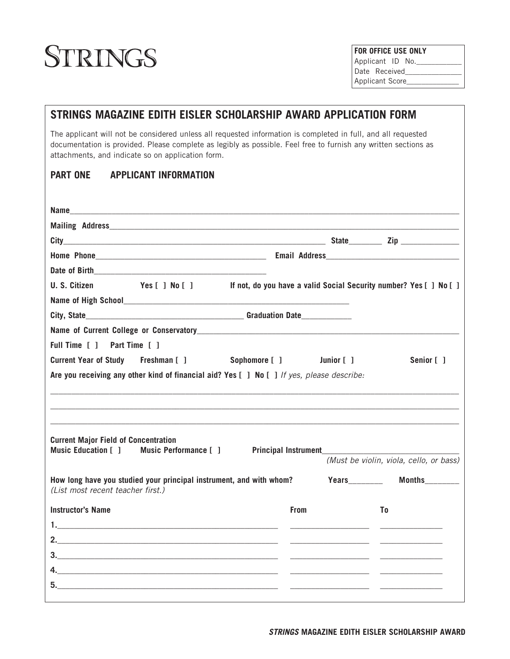# STRINGS

| <b>FOR OFFICE USE ONLY</b> |  |  |  |  |
|----------------------------|--|--|--|--|
| Applicant ID No.           |  |  |  |  |
| Date Received              |  |  |  |  |
| Applicant Score            |  |  |  |  |

## **STRINGS MAGAZINE EDITH EISLER SCHOLARSHIP AWARD APPLICATION FORM** The applicant will not be considered unless all requested information is completed in full, and all requested documentation is provided. Please complete as legibly as possible. Feel free to furnish any written sections as attachments, and indicate so on application form. **PART ONE APPLICANT INFORMATION Name\_\_\_\_\_\_\_\_\_\_\_\_\_\_\_\_\_\_\_\_\_\_\_\_\_\_\_\_\_\_\_\_\_\_\_\_\_\_\_\_\_\_\_\_\_\_\_\_\_\_\_\_\_\_\_\_\_\_\_\_\_\_\_\_\_\_\_\_\_\_\_\_\_\_\_\_\_\_\_\_\_\_\_\_\_\_\_\_\_\_\_\_\_ Mailing Address City\_\_\_\_\_\_\_\_\_\_\_\_\_\_\_\_\_\_\_\_\_\_\_\_\_\_\_\_\_\_\_\_\_\_\_\_\_\_\_\_\_\_\_\_\_\_\_\_\_\_\_\_\_\_\_\_\_\_\_\_\_\_\_ State\_\_\_\_\_\_\_\_ Zip \_\_\_\_\_\_\_\_\_\_\_\_\_\_ Home Phone\_\_\_\_\_\_\_\_\_\_\_\_\_\_\_\_\_\_\_\_\_\_\_\_\_\_\_\_\_\_\_\_\_\_\_\_\_\_\_\_\_ Email Address\_\_\_\_\_\_\_\_\_\_\_\_\_\_\_\_\_\_\_\_\_\_\_\_\_\_\_\_\_\_\_\_** Date of Birth **U. S. Citizen Yes [ ] No [ ] If not, do you have a valid Social Security number? Yes [ ] No [ ]** Name of High School **City, State\_\_\_\_\_\_\_\_\_\_\_\_\_\_\_\_\_\_\_\_\_\_\_\_\_\_\_\_\_\_\_\_\_\_\_\_\_\_ Graduation Date\_\_\_\_\_\_\_\_\_\_\_\_** Name of Current College or Conservatory **Full Time [ ] Part Time [ ] Current Year of Study Freshman [ ] Sophomore [ ] Junior [ ] Senior [ ] Are you receiving any other kind of financial aid? Yes [ ] No [ ]** *If yes, please describe:* **\_\_\_\_\_\_\_\_\_\_\_\_\_\_\_\_\_\_\_\_\_\_\_\_\_\_\_\_\_\_\_\_\_\_\_\_\_\_\_\_\_\_\_\_\_\_\_\_\_\_\_\_\_\_\_\_\_\_\_\_\_\_\_\_\_\_\_\_\_\_\_\_\_\_\_\_\_\_\_\_\_\_\_\_\_\_\_\_\_\_\_\_\_\_\_\_\_ \_\_\_\_\_\_\_\_\_\_\_\_\_\_\_\_\_\_\_\_\_\_\_\_\_\_\_\_\_\_\_\_\_\_\_\_\_\_\_\_\_\_\_\_\_\_\_\_\_\_\_\_\_\_\_\_\_\_\_\_\_\_\_\_\_\_\_\_\_\_\_\_\_\_\_\_\_\_\_\_\_\_\_\_\_\_\_\_\_\_\_\_\_\_\_\_\_\_ \_\_\_\_\_\_\_\_\_\_\_\_\_\_\_\_\_\_\_\_\_\_\_\_\_\_\_\_\_\_\_\_\_\_\_\_\_\_\_\_\_\_\_\_\_\_\_\_\_\_\_\_\_\_\_\_\_\_\_\_\_\_\_\_\_\_\_\_\_\_\_\_\_\_\_\_\_\_\_\_\_\_\_\_\_\_\_\_\_\_\_\_\_\_\_\_\_\_ Current Major Field of Concentration Music Education [ ] Music Performance [ ] Principal Instrument\_\_\_\_\_\_\_\_\_\_\_\_\_\_\_\_\_\_\_\_\_\_\_\_\_\_\_\_\_\_\_\_\_** *(Must be violin, viola, cello, or bass)* How long have you studied your principal instrument, and with whom? Years\_\_\_\_\_\_\_\_\_\_\_ Months\_\_\_\_\_\_\_\_ *(List most recent teacher first.)* **Instructor's Name To Execute To Execute Contract Contract Contract Contract Contract Contract Contract Contract Contract Contract Contract Contract Contract Contract Contract Contract Contract Contract Contract Contract C 1.\_\_\_\_\_\_\_\_\_\_\_\_\_\_\_\_\_\_\_\_\_\_\_\_\_\_\_\_\_\_\_\_\_\_\_\_\_\_\_\_\_\_\_\_\_\_\_\_\_\_\_\_\_ \_\_\_\_\_\_\_\_\_\_\_\_\_\_\_\_\_\_\_ \_\_\_\_\_\_\_\_\_\_\_\_\_\_\_ 2.\_\_\_\_\_\_\_\_\_\_\_\_\_\_\_\_\_\_\_\_\_\_\_\_\_\_\_\_\_\_\_\_\_\_\_\_\_\_\_\_\_\_\_\_\_\_\_\_\_\_\_\_\_ \_\_\_\_\_\_\_\_\_\_\_\_\_\_\_\_\_\_\_ \_\_\_\_\_\_\_\_\_\_\_\_\_\_\_ 3.\_\_\_\_\_\_\_\_\_\_\_\_\_\_\_\_\_\_\_\_\_\_\_\_\_\_\_\_\_\_\_\_\_\_\_\_\_\_\_\_\_\_\_\_\_\_\_\_\_\_\_\_\_ \_\_\_\_\_\_\_\_\_\_\_\_\_\_\_\_\_\_\_ \_\_\_\_\_\_\_\_\_\_\_\_\_\_\_ 4.\_\_\_\_\_\_\_\_\_\_\_\_\_\_\_\_\_\_\_\_\_\_\_\_\_\_\_\_\_\_\_\_\_\_\_\_\_\_\_\_\_\_\_\_\_\_\_\_\_\_\_\_\_ \_\_\_\_\_\_\_\_\_\_\_\_\_\_\_\_\_\_\_ \_\_\_\_\_\_\_\_\_\_\_\_\_\_\_ 5.\_\_\_\_\_\_\_\_\_\_\_\_\_\_\_\_\_\_\_\_\_\_\_\_\_\_\_\_\_\_\_\_\_\_\_\_\_\_\_\_\_\_\_\_\_\_\_\_\_\_\_\_\_ \_\_\_\_\_\_\_\_\_\_\_\_\_\_\_\_\_\_\_ \_\_\_\_\_\_\_\_\_\_\_\_\_\_\_**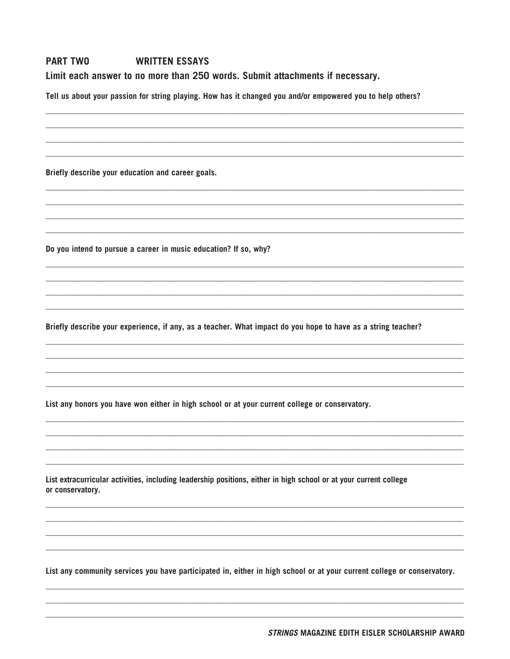#### **PART TWO WRITTEN ESSAYS** Limit each answer to no more than 250 words. Submit attachments if necessary.

Tell us about your passion for string playing. How has it changed you and/or empowered you to help others?

Briefly describe your education and career goals.

Do you intend to pursue a career in music education? If so, why?

Briefly describe your experience, if any, as a teacher. What impact do you hope to have as a string teacher?

List any honors you have won either in high school or at your current college or conservatory.

List extracurricular activities, including leadership positions, either in high school or at your current college or conservatory.

List any community services you have participated in, either in high school or at your current college or conservatory.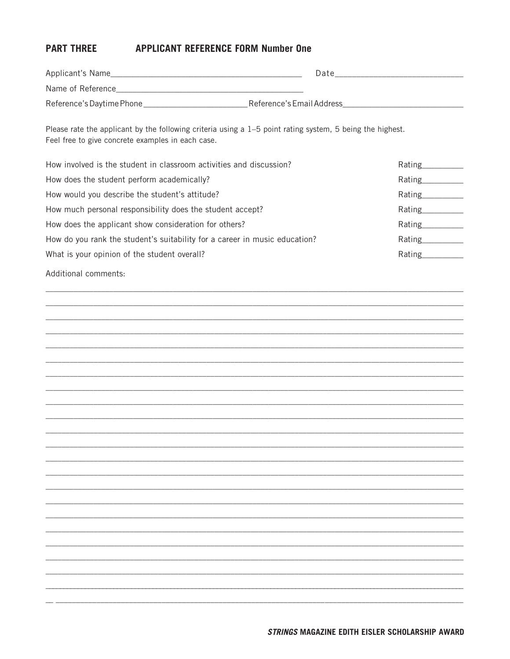#### **PART THREE APPLICANT REFERENCE FORM Number One**

| Applicant's Name          | Date                      |
|---------------------------|---------------------------|
| Name of Reference         |                           |
| Reference's Daytime Phone | Reference's Email Address |

Please rate the applicant by the following criteria using a 1-5 point rating system, 5 being the highest. Feel free to give concrete examples in each case.

| How involved is the student in classroom activities and discussion?        | Rating |
|----------------------------------------------------------------------------|--------|
| How does the student perform academically?                                 | Rating |
| How would you describe the student's attitude?                             | Rating |
| How much personal responsibility does the student accept?                  | Rating |
| How does the applicant show consideration for others?                      | Rating |
| How do you rank the student's suitability for a career in music education? | Rating |
| What is your opinion of the student overall?                               | Rating |

Additional comments: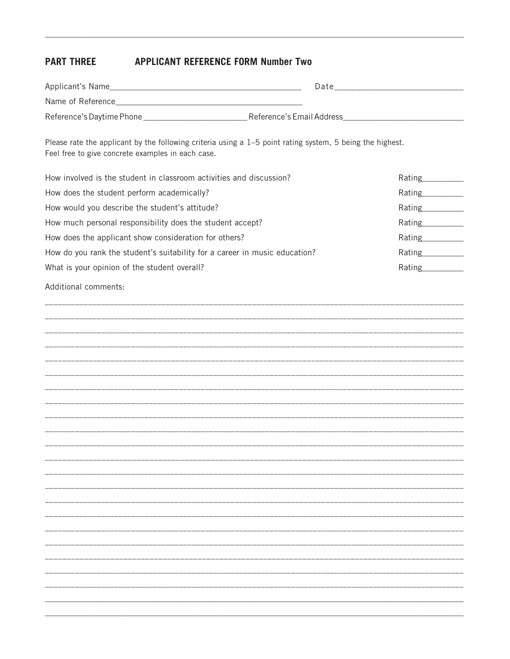#### **PART THREE APPLICANT REFERENCE FORM Number Two**

| Applicant's Name          | Date                      |
|---------------------------|---------------------------|
| Name of Reference         |                           |
| Reference's Daytime Phone | Reference's Email Address |

Please rate the applicant by the following criteria using a 1-5 point rating system, 5 being the highest. Feel free to give concrete examples in each case.

| How involved is the student in classroom activities and discussion?        | Rating |
|----------------------------------------------------------------------------|--------|
| How does the student perform academically?                                 | Rating |
| How would you describe the student's attitude?                             | Rating |
| How much personal responsibility does the student accept?                  | Rating |
| How does the applicant show consideration for others?                      | Rating |
| How do you rank the student's suitability for a career in music education? | Rating |
| What is your opinion of the student overall?                               | Rating |

Additional comments: